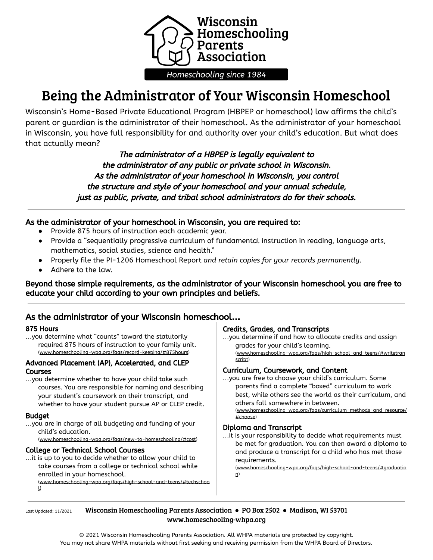

# Being the Administrator of Your Wisconsin Homeschool

Wisconsin's Home-Based Private Educational Program (HBPEP or homeschool) law affirms the child's parent or guardian is the administrator of their homeschool. As the administrator of your homeschool in Wisconsin, you have full responsibility for and authority over your child's education. But what does that actually mean?

> The administrator of <sup>a</sup> HBPEP is legally equivalent to the administrator of any public or private school in Wisconsin. As the administrator of your homeschool in Wisconsin, you control the structure and style of your homeschool and your annual schedule, just as public, private, and tribal school administrators do for their schools.

## As the administrator of your homeschool in Wisconsin, you are required to:

- Provide 875 hours of instruction each academic year.
- Provide a "sequentially progressive curriculum of fundamental instruction in reading, language arts, mathematics, social studies, science and health."
- Properly file the PI-1206 Homeschool Report *and retain copies for your records permanently*.
- Adhere to the law.

Beyond those simple requirements, as the administrator of your Wisconsin homeschool you are free to educate your child according to your own principles and beliefs.

# As the administrator of your Wisconsin homeschool**…**

#### 875 Hours

…you determine what "counts" toward the statutorily required 875 hours of instruction to your family unit. (www.homeschooling-wpa.org/faqs/record-keeping/#875hours)

#### Advanced Placement (AP), Accelerated, and CLEP Courses

…you determine whether to have your child take such courses. You are responsible for naming and describing your student's coursework on their transcript, and whether to have your student pursue AP or CLEP credit.

#### Budget

…you are in charge of all budgeting and funding of your child's education.

(www.homeschooling-wpa.org/faqs/new-to-homeschooling/#cost)

#### College or Technical School Courses

…it is up to you to decide whether to allow your child to take courses from a college or technical school while enrolled in your homeschool.

(www.homeschooling-wpa.org/faqs/high-school-and-teens/#techschoo l)

#### Credits, Grades, and Transcripts

…you determine if and how to allocate credits and assign grades for your child's learning. (www.homeschooling-wpa.org/faqs/high-school-and-teens/#writetran script)

#### Curriculum, Coursework, and Content

…you are free to choose your child's curriculum. Some parents find a complete "boxed" curriculum to work best, while others see the world as their curriculum, and others fall somewhere in between.

(www.homeschooling-wpa.org/faqs/curriculum-methods-and-resource/ #choose)

#### Diploma and Transcript

…it is your responsibility to decide what requirements must be met for graduation. You can then award a diploma to and produce a transcript for a child who has met those requirements.

(www.homeschooling-wpa.org/faqs/high-school-and-teens/#graduatio n)

Last Updated: 11/2021 Wisconsin Homeschooling Parents Association • PO Box 2502 • Madison, WI 53701 www.homeschooling-whpa.org